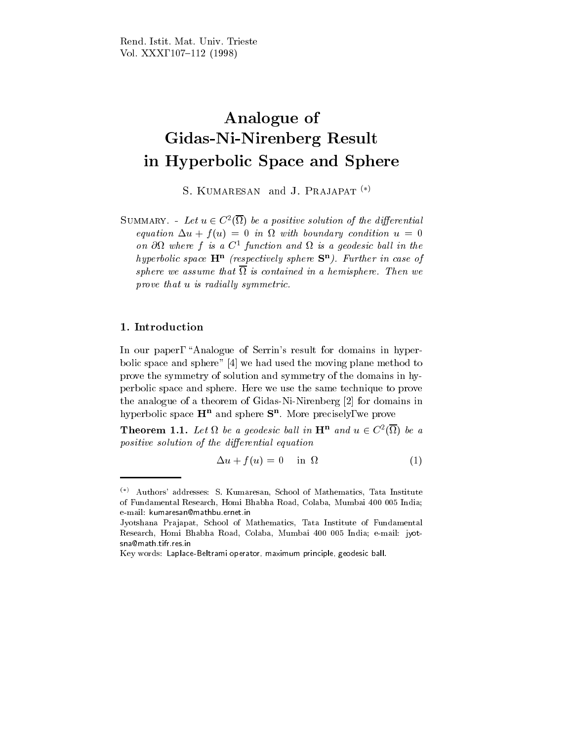# Analogue of Gidas-Ni-Nirenberg Result in Hyperbolic Space and Sphere

S. KUMARESAN and J. PRAJAPAT<sup>(\*)</sup>

SUMMARY. - Let  $u \in C<sup>2</sup>(\Omega)$  be a positive solution of the differential equation and provide use the condition of the condition up to boundary condition up to boundary condition up to on  $\mathcal{O}\Omega$  where  $\mathcal{I}$  is a  $\mathcal{C}^-$  function and  $\Omega$  is a geodesic ball in the nypervolic space  $\mathbf{H}^-$  (respectively sphere  $\mathbf{S}^-$ ). Further in case of  $s$ phere we assume that is to contained the a hemisphere. Then we are  $\sim$  $p$ rove that u is radially symmetric.

## 1. Introduction

In our paper, "Analogue of Serrin's result for domains in hyperbolic space and sphere" [4] we had used the moving plane method to prove the symmetry of solution and symmetry of the domains in hyperbolic space and sphere. Here we use the same technique to prove the analogue of a theorem of Gidas-Ni-Nirenberg [2] for domains in hyperbolic space  $\mathbf{\Pi}$  and sphere  $\mathbf{S}$  . More precisely, we prove

**Theorem 1.1.** Let  $\Omega$  be a geodesic ball in  $H^{\mu}$  and  $u \in C^{2}(\Omega)$  be a positive solution of the dierential equation

$$
\Delta u + f(u) = 0 \quad \text{in } \Omega \tag{1}
$$

 $(*)$  Authors' addresses: S. Kumaresan, School of Mathematics, Tata Institute of Fundamental Research, Homi Bhabha Road, Colaba, Mumbai 400 005 India; e-mail: kumaresan@mathbu.ernet.in

Jyotshana Prajapat, School of Mathematics, Tata Institute of Fundamental Research, Homi Bhabha Road, Colaba, Mumbai 400 005 India; e-mail: jyotsna@math.tifr.res.in

Key words: Laplace-Beltrami operator, maximum principle, geodesic ball.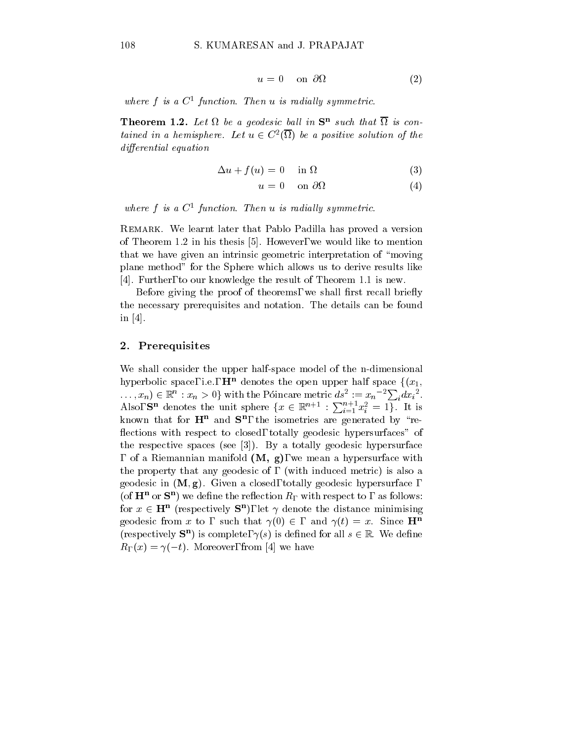$$
u = 0 \quad \text{on } \partial\Omega \tag{2}
$$

where f is a  $C^-$  function. Then a is radiaty symmetric.

**Theorem 1.2.** Let  $\Omega$  be a geodesic ball in  $S^-$  such that  $\Omega$  is contained in a hemisphere. Let  $u \in C^2(\Omega)$  be a positive solution of the die rential entry die entste die staats wat die beste gewone van die beste gewone van die beste gewone van die

$$
\Delta u + f(u) = 0 \quad \text{in } \Omega \tag{3}
$$

$$
u = 0 \quad \text{on } \partial\Omega \tag{4}
$$

where  $f$  is a  $C^-$  function. Then a is radially symmetric.

Remark. We learnt later that Pablo Padilla has proved a version of Theorem 1.2 in his thesis [5]. However, we would like to mention that we have given an intrinsic geometric interpretation of \moving plane method" for the Sphere which allows us to derive results like [4]. Further, to our knowledge the result of Theorem 1.1 is new.

Before giving the proof of theorems, we shall first recall briefly the necessary prerequisites and notation. The details can be found in [4].

### 2. Prerequisites

We shall consider the upper half-space model of the n-dimensional hyperbolic space, i.e.,  $\mathbf{H}^n$  denotes the open upper half space  $\{(x_1,$  $(x_1, x_n) \in \mathbb{R}^n : x_n > 0$  with the Póincare metric  $ds^2 := x_n^{-2} \sum_i dx_i^2$ .<br>Also, **S<sup>n</sup>** denotes the unit sphere  $\{x \in \mathbb{R}^{n+1} : \sum_{i=1}^{n+1} x_i^2 = 1\}$ . It is known that for  $\mathbf{H}^-$  and  $\mathbf{S}^-$ , the isometries are generated by  $\mathbf{R}^$ flections with respect to closed, totally geodesic hypersurfaces" of the respective spaces (see [3]). By a totally geodesic hypersurface , of a Riemannian manifold  $(M, g)$ , we mean a hypersurface with the property that any geodesic of, (with induced metric) is also a geodesic in  $(M, g)$ . Given a closed, totally geodesic hypersurface, (of  $\mathbf{H}^+$  or  $\mathbf{S}^-$ ) we define the reflection  $R_{\Gamma}$  with respect to , as follows: for  $x \in \mathbf{H}^n$  (respectively  $S^n$ ), let  $\gamma$  denote the distance minimising geodesic from x to, such that  $\gamma(0) \in$ , and  $\gamma(t) = x$ . Since  $\mathbf{H}^n$ (respectively  $S^{n}$ ) is complete,  $\gamma(s)$  is defined for all  $s \in \mathbb{R}$ . We define  $R_{\Gamma}(x) = \gamma(-t)$ . Moreover, from [4] we have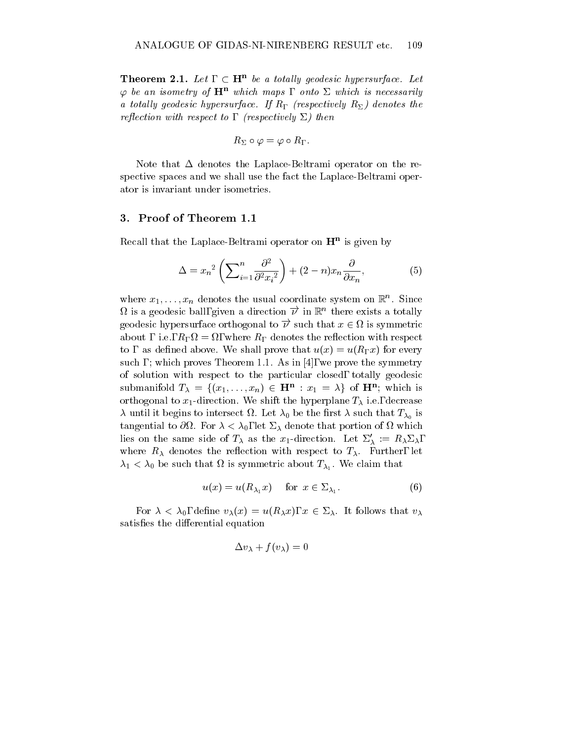**Theorem 2.1.** Let,  $\subset \mathbf{H}^n$  be a totally geodesic hypersurface. Let  $\varphi$  be an isometry of  $\mathbf{H}^n$  which maps, onto  $\Sigma$  which is necessarily a totally geodesic hypersurface. If Reference  $\mu$  (respectively R<sub>2</sub>) achoics the  $\iota$  respectively to  $\iota$  and  $\iota$  are the control of  $\iota$  and  $\iota$  and  $\iota$ 

$$
R_\Sigma\circ\varphi=\varphi\circ R_\Gamma.
$$

Note that  $\Delta$  denotes the Laplace-Beltrami operator on the respective spaces and we shall use the fact the Laplace-Beltrami operator is invariant under isometries.

#### 3. Proof of Theorem 1.1

Recall that the Laplace-Beltrami operator on Hn is given by

$$
\Delta = x_n^2 \left( \sum_{i=1}^n \frac{\partial^2}{\partial^2 x_i^2} \right) + (2 - n)x_n \frac{\partial}{\partial x_n},\tag{5}
$$

where  $x_1, \ldots, x_n$  denotes the usual coordinate system on  $\mathbb{R}^n$ . Since  $\Omega$  is a geodesic ball, given a direction  $\overrightarrow{\nu}$  in  $\mathbb{R}^n$  there exists a totally geodesic hypersurface orthogonal to  $\overrightarrow{\nu}$  such that  $x \in \Omega$  is symmetric about a section with respect to respect the respect to respect the respect to respect the respect to respect t to, as defined above. We shall prove that  $u(x) = u(R_\Gamma x)$  for every such,; which proves Theorem 1.1. As in [4], we prove the symmetry of solution with respect to the particular closed, totally geodesic submanifold  $T_{\lambda} = \{(x_1, \ldots, x_n) \in \mathbf{H}^n : x_1 = \lambda\}$  of  $\mathbf{H}^n$ ; which is orthogonal to  $x_1$ -direction. We shift the hyperplane  $T_\lambda$  i.e., decrease  $\overline{C}$  begins to intersect of the the that T0 begins that T0 be the that T0 be the total T0 be the total T0 begins that T0 tangential to which is a set of  $\alpha$  ,  $\alpha$  ,  $\beta$  and  $\beta$  and  $\beta$  of  $\alpha$  of  $\beta$  of  $\alpha$  of  $\beta$  of  $\alpha$  of  $\beta$ lies on the same side of  $T_{\lambda}$  as the x<sub>1</sub>-direction. Let  $\Sigma'_{\lambda} := R_{\lambda} \Sigma_{\lambda}$ , where  $R_{\lambda}$  denotes the reflection with respect to  $T_{\lambda}$ . Further, let  $\mathcal{L}_{1}$  ,  $\mathcal{L}_{0}$  be such that is so symmetric about  $\mathcal{L}_{\Lambda}$ . We claim that

$$
u(x) = u(R_{\lambda_1}x) \quad \text{for } x \in \Sigma_{\lambda_1}.\tag{6}
$$

For  $\lambda < \lambda_0$ , define  $v_{\lambda}(x) = u(R_{\lambda}x)$ ,  $x \in \Sigma_{\lambda}$ . It follows that  $v_{\lambda}$ satisfies the differential equation

$$
\Delta v_\lambda + f(v_\lambda) = 0
$$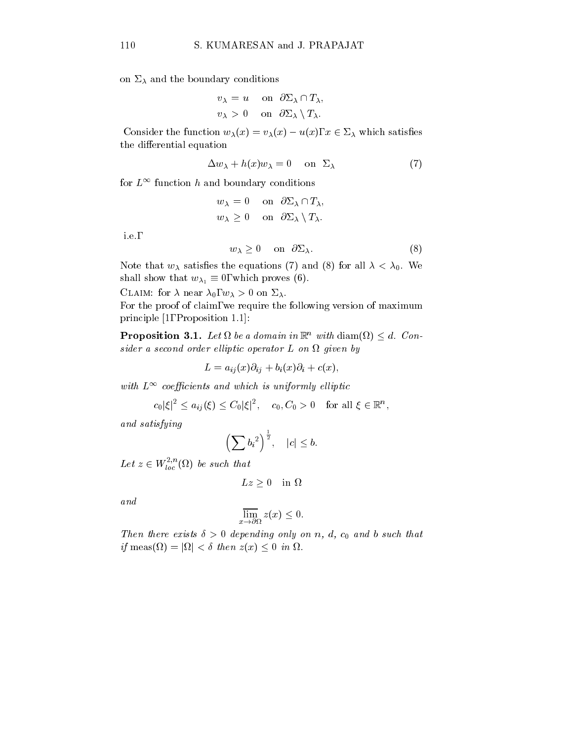on  $\Sigma_{\lambda}$  and the boundary conditions

$$
v_{\lambda} = u \quad \text{on} \quad \partial \Sigma_{\lambda} \cap T_{\lambda},
$$
  

$$
v_{\lambda} > 0 \quad \text{on} \quad \partial \Sigma_{\lambda} \setminus T_{\lambda}.
$$

Consider the function  $w_{\lambda}(x) = v_{\lambda}(x) - u(x), x \in \Sigma_{\lambda}$  which satisfies the differential equation

$$
\Delta w_{\lambda} + h(x)w_{\lambda} = 0 \quad \text{on} \quad \Sigma_{\lambda} \tag{7}
$$

for  $L^{\infty}$  function h and boundary conditions

$$
w_{\lambda} = 0 \quad \text{on} \quad \partial \Sigma_{\lambda} \cap T_{\lambda},
$$
  

$$
w_{\lambda} \ge 0 \quad \text{on} \quad \partial \Sigma_{\lambda} \setminus T_{\lambda}.
$$

i.e.,

$$
w_{\lambda} \ge 0 \quad \text{on} \quad \partial \Sigma_{\lambda}.\tag{8}
$$

Note that  $w_{\lambda}$  satisfies the equations (7) and (8) for all  $\lambda < \lambda_0$ . We shall show that  $w_{\lambda_1} \equiv 0$ , which proves (6).

CLAIM: for  $\lambda$  near  $\lambda_0, w_\lambda > 0$  on  $\Sigma_\lambda$ .

For the proof of claim, we require the following version of maximum principle [1, Proposition 1.1]:

**Proposition 3.1.** Let  $\Omega$  be a domain in  $\mathbb{R}^n$  with  $\text{diam}(\Omega) \leq d$ . Con $s$ ider a second order ellplic operator  $L$  on  $\Omega$  queen by

 $L = a_{ij}(x)\partial_{ij} + b_i(x)\partial_i + c(x),$ 

with  $L$  - coefficients and which is uniformly elliptic  $\mathcal{L}$ 

$$
c_0|\xi|^2\leq a_{ij}(\xi)\leq C_0|\xi|^2,\quad c_0,C_0>0\quad\text{for all }\xi\in\mathbb{R}^n,
$$

and satisfying the satisfying the satisfying of the satisfying state  $\mathcal{L}_1$ 

$$
\left(\sum {b_i}^2\right)^{\frac{1}{2}}, \quad |c| \leq b.
$$

Let  $z \in W_{loc}^{1,\infty}(\Omega)$  be such that

$$
Lz \ge 0 \quad \text{in } \Omega
$$

and

$$
\overline{\lim}_{x \to \partial \Omega} z(x) \le 0.
$$

 $\pm$  here exists  $\pm$  0 appending only on n, a, c0 and b such that if  $\text{meas}(\Omega) = |\Omega| < \delta$  then  $z(x) \leq 0$  in  $\Omega$ .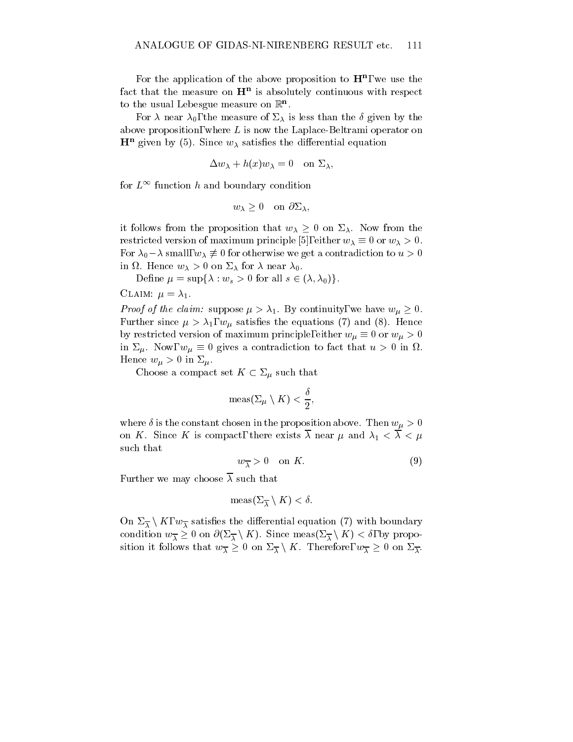For the application of the above proposition to  $\mathbf{H}^n$ , we use the ract that the measure on  $\bm{\mathrm{H}}^{-1}$  is absolutely continuous with respect  $\bm{\mathrm{H}}$ to the usual Lebesgue measure on  $\mathbb{R}^n$ .

For  $\lambda$  near  $\lambda_0$ , the measure of  $\Sigma_\lambda$  is less than the  $\delta$  given by the above proposition, where  $L$  is now the Laplace-Beltrami operator on  $\mathbf{H}^+$  given by (5). Since  $w_{\lambda}$  satisfies the differential equation

$$
\Delta w_{\lambda} + h(x)w_{\lambda} = 0 \quad \text{on } \Sigma_{\lambda},
$$

for  $L^{\infty}$  function h and boundary condition

$$
w_{\lambda} \geq 0
$$
 on  $\partial \Sigma_{\lambda}$ ,

it follows from the proposition that  $w_{\lambda} \geq 0$  on  $\Sigma_{\lambda}$ . Now from the restricted version of maximum principle [5], either  $w_{\lambda} \equiv 0$  or  $w_{\lambda} > 0$ . For  $\lambda_0 - \lambda$  small,  $w_{\lambda} \neq 0$  for otherwise we get a contradiction to  $u > 0$  $\ldots$  . Hence  $\ldots$   $\lambda$  is a set  $\ldots$   $\lambda$  and  $\ldots$  is a set  $\ldots$ 

Define  $\mu = \sup\{\lambda : w_s > 0 \text{ for all } s \in (\lambda, \lambda_0)\}.$ 

CLAIM:  $\mu = \lambda_1$ .

*Proof of the claim:* suppose  $\mu > \lambda_1$ . By continuity, we have  $w_{\mu} \geq 0$ . Further since  $\mu > \lambda_1$ ,  $w_{\mu}$  satisfies the equations (7) and (8). Hence by restricted version of maximum principle, either  $w_{\mu} \equiv 0$  or  $w_{\mu} > 0$ in  $\Sigma_{\mu}$ . Now,  $w_{\mu} \equiv 0$  gives a contradiction to fact that  $u > 0$  in  $\Omega$ . Hence  $w_{\mu} > 0$  in  $\Sigma_{\mu}$ .<br>Choose a compact set  $K \subset \Sigma_{\mu}$  such that

$$
\operatorname{meas}(\Sigma_{\mu}\setminus K)<\frac{\delta}{2},
$$

where  $\delta$  is the constant chosen in the proposition above. Then  $w_{\mu} > 0$ on K. Since K is compact, there exists  $\overline{\lambda}$  near  $\mu$  and  $\lambda_1 < \overline{\lambda} < \mu$ such that

$$
w_{\overline{\lambda}} > 0 \quad \text{on } K. \tag{9}
$$

Further we may choose  $\overline{\lambda}$  such that

$$
\operatorname{meas}(\Sigma_{\overline{\lambda}} \setminus K) < \delta.
$$

On  $\Sigma_{\overline{\lambda}} \setminus K$ ,  $w_{\overline{\lambda}}$  satisfies the differential equation (7) with boundary condition  $w_{\overline{\lambda}} \geq 0$  on  $\partial(\Sigma_{\overline{\lambda}} \setminus K)$ . Since meas $(\Sigma_{\overline{\lambda}} \setminus K) < \delta$ , by proposition it follows that  $w_{\overline{\lambda}} \geq 0$  on  $\Sigma_{\overline{\lambda}} \setminus K$ . Therefore,  $w_{\overline{\lambda}} \geq 0$  on  $\Sigma_{\overline{\lambda}}$ .